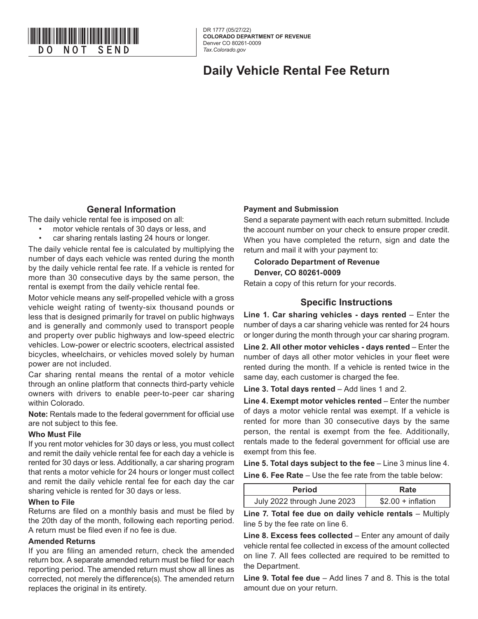

DR 1777 (05/27/22) **COLORADO DEPARTMENT OF REVENUE**  Denver CO 80261-0009 *Tax.Colorado.gov*

## **Daily Vehicle Rental Fee Return**

## **General Information**

The daily vehicle rental fee is imposed on all:

- motor vehicle rentals of 30 days or less, and
	- car sharing rentals lasting 24 hours or longer.

The daily vehicle rental fee is calculated by multiplying the number of days each vehicle was rented during the month by the daily vehicle rental fee rate. If a vehicle is rented for more than 30 consecutive days by the same person, the rental is exempt from the daily vehicle rental fee.

Motor vehicle means any self-propelled vehicle with a gross vehicle weight rating of twenty-six thousand pounds or less that is designed primarily for travel on public highways and is generally and commonly used to transport people and property over public highways and low-speed electric vehicles. Low-power or electric scooters, electrical assisted bicycles, wheelchairs, or vehicles moved solely by human power are not included.

Car sharing rental means the rental of a motor vehicle through an online platform that connects third-party vehicle owners with drivers to enable peer-to-peer car sharing within Colorado.

**Note:** Rentals made to the federal government for official use are not subject to this fee.

#### **Who Must File**

If you rent motor vehicles for 30 days or less, you must collect and remit the daily vehicle rental fee for each day a vehicle is rented for 30 days or less. Additionally, a car sharing program that rents a motor vehicle for 24 hours or longer must collect and remit the daily vehicle rental fee for each day the car sharing vehicle is rented for 30 days or less.

#### **When to File**

Returns are filed on a monthly basis and must be filed by the 20th day of the month, following each reporting period. A return must be filed even if no fee is due.

#### **Amended Returns**

If you are filing an amended return, check the amended return box. A separate amended return must be filed for each reporting period. The amended return must show all lines as corrected, not merely the difference(s). The amended return replaces the original in its entirety.

### **Payment and Submission**

Send a separate payment with each return submitted. Include the account number on your check to ensure proper credit. When you have completed the return, sign and date the return and mail it with your payment to:

### **Colorado Department of Revenue Denver, CO 80261-0009**

Retain a copy of this return for your records.

## **Specific Instructions**

**Line 1. Car sharing vehicles - days rented** – Enter the number of days a car sharing vehicle was rented for 24 hours or longer during the month through your car sharing program.

**Line 2. All other motor vehicles - days rented – Enter the** number of days all other motor vehicles in your fleet were rented during the month. If a vehicle is rented twice in the same day, each customer is charged the fee.

**Line 3. Total days rented** – Add lines 1 and 2.

**Line 4. Exempt motor vehicles rented** – Enter the number of days a motor vehicle rental was exempt. If a vehicle is rented for more than 30 consecutive days by the same person, the rental is exempt from the fee. Additionally, rentals made to the federal government for official use are exempt from this fee.

**Line 5. Total days subject to the fee** – Line 3 minus line 4.

**Line 6. Fee Rate** – Use the fee rate from the table below:

| <b>Period</b>               | Rate                |  |  |  |  |
|-----------------------------|---------------------|--|--|--|--|
| July 2022 through June 2023 | $$2.00 + inflation$ |  |  |  |  |

**Line 7. Total fee due on daily vehicle rentals - Multiply** line 5 by the fee rate on line 6.

**Line 8. Excess fees collected** – Enter any amount of daily vehicle rental fee collected in excess of the amount collected on line 7. All fees collected are required to be remitted to the Department.

**Line 9. Total fee due** – Add lines 7 and 8. This is the total amount due on your return.